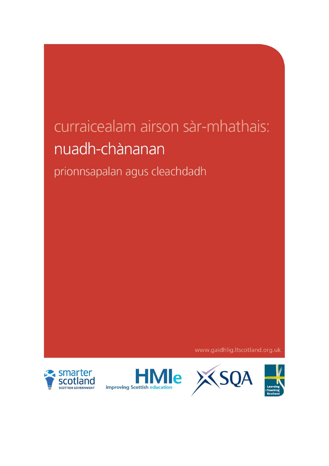# curraicealam airson sàr-mhathais: nuadh-chànanan

# prionnsapalan agus cleachdadh

www.gaidhlig.ltscotland.org.uk





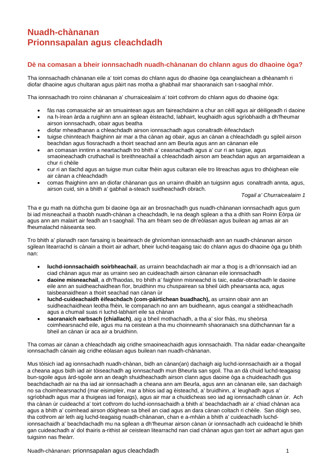# **Nuadh-chànanan Prionnsapalan agus cleachdadh**

# **Dè na comasan a bheir ionnsachadh nuadh-chànanan do chlann agus do dhaoine òga?**

Tha ionnsachadh chànanan eile a' toirt comas do chlann agus do dhaoine òga ceanglaichean a dhèanamh ri diofar dhaoine agus chultaran agus pàirt nas motha a ghabhail mar shaoranaich san t-saoghal mhòr.

Tha ionnsachadh tro roinn chànanan a' churraicealaim a' toirt cothrom do chlann agus do dhaoine òga:

- fàs nas comasaiche air an smuaintean agus am faireachdainn a chur an cèill agus air dèiligeadh ri daoine
- na h-ìrean àrda a ruighinn ann an sgilean èisteachd, labhairt, leughaidh agus sgrìobhaidh a dh'fheumar airson ionnsachadh, obair agus beatha
- diofar mheadhanan a chleachdadh airson ionnsachadh agus conaltradh èifeachdach
- tuigse chinnteach fhaighinn air mar a tha cànan ag obair, agus an cànan a chleachdadh gu sgileil airson beachdan agus fiosrachadh a thoirt seachad ann am Beurla agus ann an cànanan eile
- an comasan inntinn a neartachadh tro bhith a' ceasnachadh agus a' cur ri an tuigse, agus smaoineachadh cruthachail is breithneachail a chleachdadh airson am beachdan agus an argamaidean a chur ri chèile
- cur ri an tlachd agus an tuigse mun cultar fhèin agus cultaran eile tro litreachas agus tro dhòighean eile air cànan a chleachdadh
- comas fhaighinn ann an diofar chànanan gus an urrainn dhaibh an tuigsinn agus conaltradh annta, agus, airson cuid, sin a bhith a' gabhail a-steach suidheachadh obrach.

*Togail a' Churraicealaim 1*

Tha e gu math na dùthcha gum bi daoine òga air an brosnachadh gus nuadh-chànanan ionnsachadh agus gum bi iad misneachail a thaobh nuadh-chànan a cheachdadh, le na deagh sgilean a tha a dhìth san Roinn Eòrpa ùir agus ann am malairt air feadh an t-saoghail. Tha am frèam seo de dh'eòlasan agus builean ag amas air an fheumalachd nàiseanta seo.

Tro bhith a' planadh raon farsaing is beairteach de ghnìomhan ionnsachaidh ann an nuadh-chànanan airson sgilean litearrachd is cànain a thoirt air adhart, bheir luchd-teagaisg taic do chlann agus do dhaoine òga gu bhith nan:

- **luchd-ionnsachaidh soirbheachail**, as urrainn beachdachadh air mar a thog is a dh'ionnsaich iad an ciad chànan agus mar as urrainn seo an cuideachadh airson cànanan eile ionnsachadh
- **daoine misneachail**, a dh'fhaodas, tro bhith a' faighinn misneachd is taic, eadar-obrachadh le daoine eile ann an suidheachaidhean fìor, bruidhinn mu chuspairean sa bheil ùidh phearsanta aca, agus taisbeanaidhean a thoirt seachad nan cànan ùr
- **luchd-cuideachaidh èifeachdach (com-pàirtichean buadhach),** as urrainn obair ann an suidheachaidhean leotha fhèin, le companach no ann am buidheann, agus ceangal a stèidheachadh agus a chumail suas ri luchd-labhairt eile sa chànan
- **saoranaich earbsach (chiallach)**, aig a bheil mothachadh, a tha a' sìor fhàs, mu sheòrsa coimhearsnachd eile, agus mu na ceistean a tha mu choinneamh shaoranaich sna dùthchannan far a bheil an cànan ùr aca air a bruidhinn.

Tha comas air cànan a chleachdadh aig cridhe smaoineachaidh agus ionnsachaidh. Tha nàdar eadar-cheangailte ionnsachadh cànain aig cridhe eòlasan agus builean nan nuadh-chànanan.

Mus tòisich iad ag ionnsachadh nuadh-chànan, bidh an cànan(an) dachaigh aig luchd-ionnsachaidh air a thogail a cheana agus bidh iad air tòiseachadh ag ionnsachadh mun Bheurla san sgoil. Tha an dà chuid luchd-teagaisg bun-sgoile agus àrd-sgoile ann an deagh shuidheachadh airson clann agus daoine òga a chuideachadh gus beachdachadh air na tha iad air ionnsachadh a cheana ann am Beurla, agus ann an cànanan eile, san dachaigh no sa choimhearsnachd (mar eisimpleir, mar a bhios iad ag èisteachd, a' bruidhinn, a' leughadh agus a' sgrìobhadh agus mar a thuigeas iad fonaigs), agus air mar a chuidicheas seo iad ag ionnsachadh cànan ùr. Ach tha cànan ùr cuideachd a' toirt cothrom do luchd-ionnsachaidh a bhith a' beachdachadh air a' chiad chànan aca agus a bhith a' coimhead airson dòighean sa bheil an ciad agus an dara cànan coltach ri chèile. San dòigh seo, tha cothrom air leth aig luchd-teagaisg nuadh-chànanan, chan e a-mhàin a bhith a' cuideachadh luchdionnsachaidh a' beachdachadh mu na sgilean a dh'fheumar airson cànan ùr ionnsachadh ach cuideachd le bhith gan cuideachadh a' dol thairis a-rithist air ceistean litearrachd nan ciad chànan agus gan toirt air adhart agus gan tuigsinn nas fheàrr.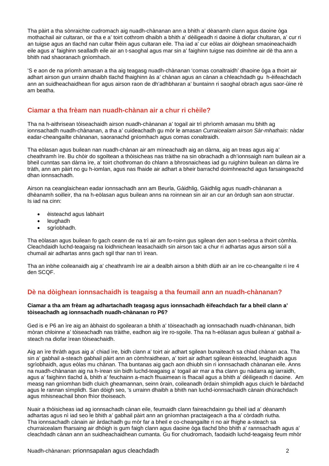Tha pàirt a tha sònraichte cudromach aig nuadh-chànanan ann a bhith a' dèanamh clann agus daoine òga mothachail air cultaran, oir tha e a' toirt cothrom dhaibh a bhith a' dèiligeadh ri daoine à diofar chultaran, a' cur ri an tuigse agus an tlachd nan cultar fhèin agus cultaran eile. Tha iad a' cur eòlas air dòighean smaoineachaidh eile agus a' faighinn sealladh eile air an t-saoghal agus mar sin a' faighinn tuigse nas doimhne air dè tha ann a bhith nad shaoranach gnìomhach.

'S e aon de na prìomh amasan a tha aig teagasg nuadh-chànanan 'comas conaltraidh' dhaoine òga a thoirt air adhart airson gun urrainn dhaibh tlachd fhaighinn às a' chànan agus an cànan a chleachdadh gu h-èifeachdach ann an suidheachaidhean fìor agus airson raon de dh'adhbharan a' buntainn ri saoghal obrach agus saor-ùine rè am beatha.

## **Ciamar a tha frèam nan nuadh-chànan air a chur ri chèile?**

Tha na h-aithrisean tòiseachaidh airson nuadh-chànanan a' togail air trì phrìomh amasan mu bhith ag ionnsachadh nuadh-chànanan, a tha a' cuideachadh gu mòr le amasan *Curraicealam airson Sàr-mhathais*: nàdar eadar-cheangailte chànanan, saoranachd gnìomhach agus comas conaltraidh.

Tha eòlasan agus builean nan nuadh-chànan air am mìneachadh aig an dàrna, aig an treas agus aig a' cheathramh ìre. Bu chòir do sgoiltean a thòisicheas nas tràithe na sin obrachadh a dh'ionnsaigh nam builean air a bheil cunntas san dàrna ìre, a' toirt chothroman do chlann a bhrosnaicheas iad gu ruighinn builean an dàrna ìre tràth, ann am pàirt no gu h-iomlan, agus nas fhaide air adhart a bheir barrachd doimhneachd agus farsaingeachd dhan ionnsachadh.

Airson na ceanglaichean eadar ionnsachadh ann am Beurla, Gàidhlig, Gàidhlig agus nuadh-chànanan a dhèanamh soilleir, tha na h-eòlasan agus builean anns na roinnean sin air an cur an òrdugh san aon structar. Is iad na cinn:

- èisteachd agus labhairt
- leughadh
- sgrìobhadh.

Tha eòlasan agus builean fo gach ceann de na trì air am fo-roinn gus sgilean den aon t-seòrsa a thoirt còmhla. Cleachdaidh luchd-teagaisg na loidhnichean leasachaidh sin airson taic a chur ri adhartas agus airson sùil a chumail air adhartas anns gach sgil thar nan trì ìrean.

Tha an inbhe coileanaidh aig a' cheathramh ìre air a dealbh airson a bhith dlùth air an ìre co-cheangailte ri ìre 4 den SCQF.

## **Dè na dòighean ionnsachaidh is teagaisg a tha feumail ann an nuadh-chànanan?**

#### **Ciamar a tha am frèam ag adhartachadh teagasg agus ionnsachadh èifeachdach far a bheil clann a' tòiseachadh ag ionnsachadh nuadh-chànanan ro P6?**

Ged is e P6 an ìre aig an àbhaist do sgoilearan a bhith a' tòiseachadh ag ionnsachadh nuadh-chànanan, bidh mòran chloinne a' tòiseachadh nas tràithe, eadhon aig ìre ro-sgoile. Tha na h-eòlasan agus builean a' gabhail asteach na diofar ìrean tòiseachaidh.

Aig an ìre thràth agus aig a' chiad ìre, bidh clann a' toirt air adhart sgilean bunaiteach sa chiad chànan aca. Tha sin a' gabhail a-steach gabhail pàirt ann an còmhraidhean, a' toirt air adhart sgilean èisteachd, leughaidh agus sgrìobhaidh, agus eòlas mu chànan. Tha buntanas aig gach aon dhiubh sin ri ionnsachadh chànanan eile. Anns na nuadh-chànanan aig na h-ìrean sin bidh luchd-teagaisg a' togail air mar a tha clann gu nàdarra ag iarraidh, agus a' faighinn tlachd à, bhith a' feuchainn a-mach fhuaimean is fhacail agus a bhith a' dèiligeadh ri daoine. Am measg nan gnìomhan bidh cluich gheamannan, seinn òrain, coileanadh òrdain shìmplidh agus cluich le bàrdachd agus le rannan sìmplidh. San dòigh seo, 's urrainn dhaibh a bhith nan luchd-ionnsachaidh cànain dhùrachdach agus mhisneachail bhon fhìor thoiseach.

Nuair a thòisicheas iad ag ionnsachadh cànan eile, feumaidh clann faireachdainn gu bheil iad a' dèanamh adhartas agus nì iad seo le bhith a' gabhail pàirt ann an gnìomhan practaigeach a tha a' còrdadh riutha. Tha ionnsachadh cànain air àrdachadh gu mòr far a bheil e co-cheangailte ri no air fhighe a-steach sa churraicealam fharsaing air dhòigh is gum faigh clann agus daoine òga tlachd bho bhith a' rannsachadh agus a' cleachdadh cànan ann an suidheachaidhean cumanta. Gu fìor chudromach, faodaidh luchd-teagaisg feum mhòr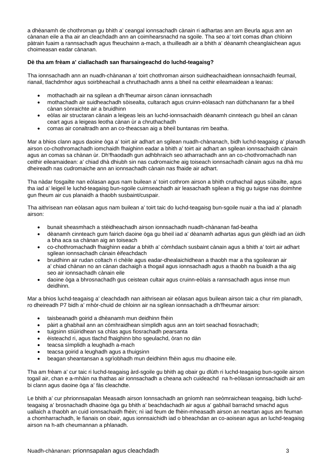a dhèanamh de chothroman gu bhith a' ceangal ionnsachadh cànain ri adhartas ann am Beurla agus ann an cànanan eile a tha air an cleachdadh ann an coimhearsnachd na sgoile. Tha seo a' toirt comas dhan chloinn pàtrain fuaim a rannsachadh agus fheuchainn a-mach, a thuilleadh air a bhith a' dèanamh cheanglaichean agus choimeasan eadar cànanan.

#### **Dè tha am frèam a' ciallachadh san fharsaingeachd do luchd-teagaisg?**

Tha ionnsachadh ann an nuadh-chànanan a' toirt chothroman airson suidheachaidhean ionnsachaidh feumail, rianail, tlachdmhor agus soirbheachail a chruthachadh anns a bheil na ceithir eileamaidean a leanas:

- mothachadh air na sgilean a dh'fheumar airson cànan ionnsachadh
- mothachadh air suidheachadh sòisealta, cultarach agus cruinn-eòlasach nan dùthchanann far a bheil cànan sònraichte air a bruidhinn
- eòlas air structaran cànain a leigeas leis an luchd-ionnsachaidh dèanamh cinnteach gu bheil an cànan ceart agus a leigeas leotha cànan ùr a chruthachadh
- comas air conaltradh ann an co-theacsan aig a bheil buntanas rim beatha.

Mar a bhios clann agus daoine òga a' toirt air adhart an sgilean nuadh-chànanach, bidh luchd-teagaisg a' planadh airson co-chothromachadh iomchaidh fhaighinn eadar a bhith a' toirt air adhart an sgilean ionnsachaidh cànain agus an comas sa chànan ùr. Dh'fhaodadh gun adhbhraich seo atharrachadh ann an co-chothromachadh nan ceithir eileamaidean: a' chiad dhà dhiubh sin nas cudromaiche aig toiseach ionnsachadh cànain agus na dhà mu dheireadh nas cudromaiche ann an ionnsachadh cànain nas fhaide air adhart.

Tha nàdar fosgailte nan eòlasan agus nam builean a' toirt cothrom airson a bhith cruthachail agus sùbailte, agus tha iad a' leigeil le luchd-teagaisg bun-sgoile cuimseachadh air leasachadh sgilean a thig gu tuigse nas doimhne gun fheum air cus planaidh a thaobh susbaint/cuspair.

Tha aithrisean nan eòlasan agus nam builean a' toirt taic do luchd-teagaisg bun-sgoile nuair a tha iad a' planadh airson:

- bunait sheasmhach a stèidheachadh airson ionnsachadh nuadh-chànanan fad-beatha
- dèanamh cinnteach gum fairich daoine òga gu bheil iad a' dèanamh adhartas agus gun glèidh iad an ùidh a bha aca sa chànan aig an toiseach
- co-chothromachadh fhaighinn eadar a bhith a' còmhdach susbaint cànain agus a bhith a' toirt air adhart sgilean ionnsachadh cànain èifeachdach
- bruidhinn air rudan coltach ri chèile agus eadar-dhealaichidhean a thaobh mar a tha sgoilearan air a' chiad chànan no an cànan dachaigh a thogail agus ionnsachadh agus a thaobh na buaidh a tha aig seo air ionnsachadh cànain eile
- daoine òga a bhrosnachadh gus ceistean cultair agus cruinn-eòlais a rannsachadh agus innse mun deidhinn.

Mar a bhios luchd-teagaisg a' cleachdadh nan aithrisean air eòlasan agus builean airson taic a chur rim planadh, ro dheireadh P7 bidh a' mhòr-chuid de chloinn air na sgilean ionnsachadh a dh'fheumar airson:

- taisbeanadh goirid a dhèanamh mun deidhinn fhèin
- pàirt a ghabhail ann an còmhraidhean sìmplidh agus ann an toirt seachad fiosrachadh;
- tuigsinn stiùiridhean sa chlas agus fiosrachadh pearsanta
- èisteachd ri, agus tlachd fhaighinn bho sgeulachd, òran no dàn
- teacsa sìmplidh a leughadh a-mach
- teacsa goirid a leughadh agus a thuigsinn
- beagan sheantansan a sgrìobhadh mun deidhinn fhèin agus mu dhaoine eile.

Tha am frèam a' cur taic ri luchd-teagaisg àrd-sgoile gu bhith ag obair gu dlùth ri luchd-teagaisg bun-sgoile airson togail air, chan e a-mhàin na thathas air ionnsachadh a cheana ach cuideachd na h-eòlasan ionnsachaidh air am bi clann agus daoine òga a' fàs cleachdte.

Le bhith a' cur phrionnsapalan Measadh airson Ionnsachadh an gnìomh nan seòmraichean teagaisg, bidh luchdteagaisg a' brosnachadh dhaoine òga gu bhith a' beachdachadh air agus a' gabhail barrachd smachd agus uallaich a thaobh an cuid ionnsachaidh fhèin; nì iad feum de fhèin-mheasadh airson an neartan agus am feuman a chomharrachadh, le fianais on obair, agus ionnsaichidh iad o bheachdan an co-aoisean agus an luchd-teagaisg airson na h-ath cheumannan a phlanadh.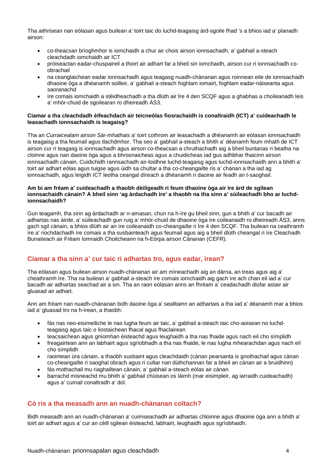Tha aithrisean nan eòlasan agus builean a' toirt taic do luchd-teagaisg àrd-sgoile fhad 's a bhios iad a' planadh airson:

- co-theacsan brìoghmhor is iomchaidh a chur air chois airson ionnsachadh, a' gabhail a-steach cleachdadh iomchaidh air ICT
- pròiseactan eadar-chuspaireil a thoirt air adhart far a bheil sin iomchaidh, airson cur ri ionnsachadh coobrachail
- na ceanglaichean eadar ionnsachadh agus teagasg nuadh-chànanan agus roinnean eile de ionnsachadh dhaoine òga a dhèanamh soilleir, a' gabhail a-steach foghlam iomairt, foghlam eadar-nàiseanta agus saoranachd
- ìre comais iomchaidh a stèidheachadh a tha dlùth air Ìre 4 den SCQF agus a ghabhas a choileanadh leis a' mhòr-chuid de sgoilearan ro dheireadh ÀS3.

#### **Ciamar a tha cleachdadh èifeachdach air teicneòlas fiosrachaidh is conaltraidh (ICT) a' cuideachadh le leasachadh ionnsachaidh is teagaisg?**

Tha an *Curraicealam airson Sàr-mhathais* a' toirt cothrom air leasachadh a dhèanamh air eòlasan ionnsachaidh is teagaisg a tha feumail agus tlachdmhor. Tha seo a' gabhail a-steach a bhith a' dèanamh feum mhath de ICT airson cur ri teagasg is ionnsachadh agus airson co-theacsan a chruthachadh aig a bheil buntanas ri beatha na cloinne agus nan daoine òga agus a bhrosnaicheas agus a chuidicheas iad gus adhbhar fhaicinn airson ionnsachadh cànain. Cuidichidh rannsachadh air-loidhne luchd-teagaisg agus luchd-ionnsachaidh ann a bhith a' toirt air adhart eòlas agus tuigse agus ùidh sa chultar a tha co-cheangailte ris a' chànan a tha iad ag ionnsachadh, agus leigidh ICT leotha ceangal dìreach a dhèanamh ri daoine air feadh an t-saoghail.

#### **Am bi am frèam a' cuideachadh a thaobh dèiligeadh ri feum dhaoine òga air ìre àrd de sgilean ionnsachaidh cànain? A bheil sinn 'ag àrdachadh ìre' a thaobh na tha sinn a' sùileachadh bho ar luchdionnsachaidh?**

Gun teagamh, tha sinn ag àrdachadh ar n-amasan, chun na h-ìre gu bheil sinn, gun a bhith a' cur bacadh air adhartas nas àirde, a' sùileachadh gun ruig a' mhòr-chuid de dhaoine òga ìre coileanaidh ro dheireadh ÀS3, anns gach sgil cànain, a bhios dlùth air an ìre coileanaidh co-cheangailte ri Ìre 4 den SCQF. Tha builean na ceathramh ìre a' riochdachadh ìre comais a tha susbainteach agus feumail agus aig a bheil dlùth cheangal ri ìre Cleachadh Bunaiteach air Frèam Iomraidh Choitcheann na h-Eòrpa airson Cànanan (CEFR).

# **Ciamar a tha sinn a' cur taic ri adhartas tro, agus eadar, ìrean?**

Tha eòlasan agus builean airson nuadh-chànanan air am mìneachadh aig an dàrna, an treas agus aig a' cheathramh ìre. Tha na builean a' gabhail a-steach ìre comais iomchaidh aig gach ìre ach chan eil iad a' cur bacadh air adhartas seachad air a sin. Tha an raon eòlasan anns an fhrèam a' ceadachadh diofar astair air gluasad air adhart.

Ann am frèam nan nuadh-chànanan bidh daoine òga a' sealltainn an adhartais a tha iad a' dèanamh mar a bhios iad a' gluasad tro na h-ìrean, a thaobh:

- fàs nas neo-eisimeiliche le nas lugha feum air taic, a' gabhail a-steach taic cho-aoisean no luchdteagaisg agus taic o liostaichean fhacal agus fhaclairean
- teacsaichean agus gnìomhan èisteachd agus leughaidh a tha nas fhaide agus nach eil cho sìmplidh
- freagairtean ann an labhairt agus sgrìobhadh a tha nas fhaide, le nas lugha mhearachdan agus nach eil cho sìmplidh
- raointean ùra cànain, a thaobh susbaint agus cleachdaidh (cànan pearsanta is gnothachail agus cànan co-cheangailte ri saoghal obrach agus ri cultar nan dùthchannan far a bheil an cànan air a bruidhinn)
- fàs mothachail mu riaghailtean cànain, a' gabhail a-steach eòlas air cànan
- barrachd misneachd mu bhith a' gabhail chùisean os làimh (mar eisimpleir, ag iarraidh cuideachadh) agus a' cumail conaltradh a' dol.

#### **Cò ris a tha measadh ann an nuadh-chànanan coltach?**

Bidh measadh ann an nuadh-chànanan a' cuimseachadh air adhartas chloinne agus dhaoine òga ann a bhith a' toirt air adhart agus a' cur an cèill sgilean èisteachd, labhairt, leughaidh agus sgrìobhaidh.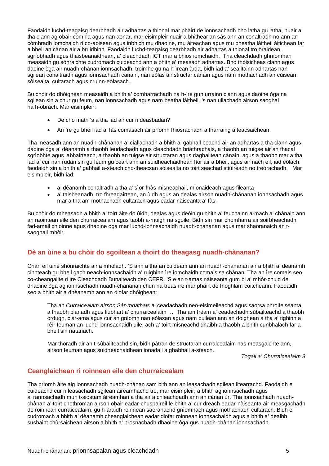Faodaidh luchd-teagaisg dearbhadh air adhartas a thional mar phàirt de ionnsachadh bho latha gu latha, nuair a tha clann ag obair còmhla agus nan aonar, mar eisimpleir nuair a bhithear an sàs ann an conaltradh no ann an còmhradh iomchaidh ri co-aoisean agus inbhich mu dhaoine, mu àiteachan agus mu bheatha làitheil àitichean far a bheil an cànan air a bruidhinn. Faodaidh luchd-teagaisg dearbhadh air adhartas a thional tro òraidean, sgrìobhadh agus thaisbeanaidhean, a' cleachdadh ICT mar a bhios iomchaidh. Tha cleachdadh ghnìomhan measaidh gu sònraichte cudromach cuideachd ann a bhith a' measadh adhartas. Bho thòisicheas clann agus daoine òga air nuadh-chànan ionnsachadh, troimhe gu na h-ìrean àrda, bidh iad a' sealltainn adhartas nan sgilean conaltraidh agus ionnsachadh cànain, nan eòlas air structar cànain agus nam mothachadh air cùisean sòisealta, cultarach agus cruinn-eòlasach.

Bu chòir do dhòighean measaidh a bhith a' comharrachadh na h-ìre gun urrainn clann agus daoine òga na sgilean sin a chur gu feum, nan ionnsachadh agus nam beatha làitheil, 's nan ullachadh airson saoghal na h-obrach. Mar eisimpleir:

- Dè cho math 's a tha iad air cur ri deasbadan?
- An ìre gu bheil iad a' fàs comasach air prìomh fhiosrachadh a tharraing à teacsaichean.

Tha measadh ann an nuadh-chànanan a' ciallachadh a bhith a' gabhail beachd air an adhartas a tha clann agus daoine òga a' dèanamh a thaobh leudachadh agus cleachdadh briathrachais, a thaobh an tuigse air an fhacal sgrìobhte agus labhairteach, a thaobh an tuigse air structaran agus riaghailtean cànain, agus a thaobh mar a tha iad a' cur nan rudan sin gu feum gu ceart ann an suidheachaidhean fìor air a bheil, agus air nach eil, iad eòlach: faodaidh sin a bhith a' gabhail a-steach cho-theacsan sòisealta no toirt seachad stiùireadh no treòrachadh. Mar eisimpleir, bidh iad:

- a' dèanamh conaltradh a tha a' sìor-fhàs misneachail, mionaideach agus fileanta
- a' taisbeanadh, tro fhreagairtean, an ùidh agus an dealas airson nuadh-chànanan ionnsachadh agus mar a tha am mothachadh cultarach agus eadar-nàiseanta a' fàs.

Bu chòir do mheasadh a bhith a' toirt àite do ùidh, dealas agus deòin gu bhith a' feuchainn a-mach a' chànain ann an raointean eile den churraicealam agus taobh a-muigh na sgoile. Bidh sin mar chomharra air soirbheachadh fad-amail chloinne agus dhaoine òga mar luchd-ionnsachaidh nuadh-chànanan agus mar shaoranaich an tsaoghail mhòir.

# **Dè an ùine a bu chòir do sgoiltean a thoirt do theagasg nuadh-chànanan?**

Chan eil ùine shònraichte air a mholadh. 'S ann a tha an cuideam ann an nuadh-chànanan air a bhith a' dèanamh cinnteach gu bheil gach neach-ionnsachaidh a' ruighinn ìre iomchaidh comais sa chànan. Tha an ìre comais seo co-cheangailte ri ìre Cleachdadh Bunaiteach den CEFR. 'S e an t-amas nàiseanta gum bi a' mhòr-chuid de dhaoine òga ag ionnsachadh nuadh-chànanan chun na treas ìre mar phàirt de fhoghlam coitcheann. Faodaidh seo a bhith air a dhèanamh ann an diofar dhòighean:

Tha an *Curraicealam airson Sàr-mhathais* a' ceadachadh neo-eisimeileachd agus saorsa phroifeiseanta a thaobh planadh agus liubhart a' churraicealaim … Tha am frèam a' ceadachadh sùbailteachd a thaobh òrdugh, clàr-ama agus cur an gnìomh nan eòlasan agus nam builean ann an dòighean a tha a' tighinn a rèir feuman an luchd-ionnsachaidh uile, ach a' toirt misneachd dhaibh a thaobh a bhith cunbhalach far a bheil sin riatanach.

Mar thoradh air an t-sùbailteachd sin, bidh pàtran de structaran curraicealaim nas measgaichte ann, airson feuman agus suidheachaidhean ionadail a ghabhail a-steach.

*Togail a' Churraicealaim 3*

# **Ceanglaichean ri roinnean eile den churraicealam**

Tha prìomh àite aig ionnsachadh nuadh-chànan sam bith ann an leasachadh sgilean litearrachd. Faodaidh e cuideachd cur ri leasachadh sgilean àireamhachd tro, mar eisimpleir, a bhith ag ionnsachadh agus a' rannsachadh mun t-siostam àireamhan a tha air a chleachdadh ann an cànan ùr. Tha ionnsachadh nuadhchànan a' toirt chothroman airson obair eadar-chuspaireil le bhith a' cur dreach eadar-nàiseanta air measgachadh de roinnean curraicealaim, gu h-àraidh roinnean saoranachd gnìomhach agus mothachadh cultarach. Bidh e cudromach a bhith a' dèanamh cheanglaichean eadar diofar roinnean ionnsachaidh agus a bhith a' dealbh susbaint chùrsaichean airson a bhith a' brosnachadh dhaoine òga gus nuadh-chànan ionnsachadh.